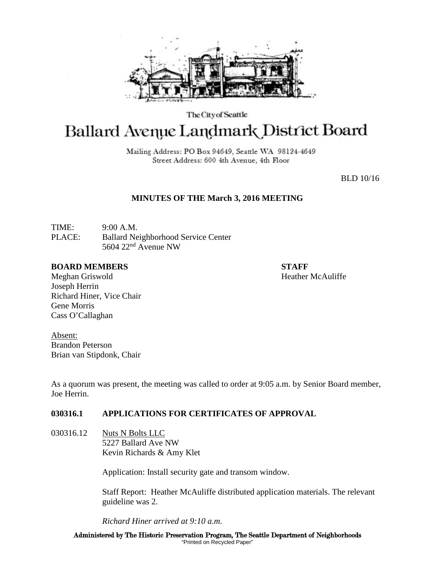

The City of Seattle

# Ballard Avenue Landmark District Board

Mailing Address: PO Box 94649, Seattle WA 98124-4649 Street Address: 600 4th Avenue, 4th Floor

BLD 10/16

# **MINUTES OF THE March 3, 2016 MEETING**

TIME: 9:00 A.M. PLACE: Ballard Neighborhood Service Center 5604 22nd Avenue NW

#### **BOARD MEMBERS STAFF**

Meghan Griswold **Heather McAuliffe** Joseph Herrin Richard Hiner, Vice Chair Gene Morris Cass O'Callaghan

Absent: Brandon Peterson Brian van Stipdonk, Chair

As a quorum was present, the meeting was called to order at 9:05 a.m. by Senior Board member, Joe Herrin.

# **030316.1 APPLICATIONS FOR CERTIFICATES OF APPROVAL**

030316.12 Nuts N Bolts LLC 5227 Ballard Ave NW Kevin Richards & Amy Klet

Application: Install security gate and transom window.

Staff Report: Heather McAuliffe distributed application materials. The relevant guideline was 2.

*Richard Hiner arrived at 9:10 a.m.*

Administered by The Historic Preservation Program, The Seattle Department of Neighborhoods "Printed on Recycled Paper"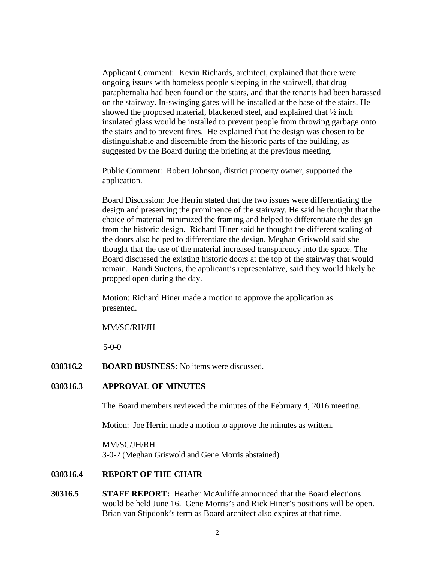Applicant Comment: Kevin Richards, architect, explained that there were ongoing issues with homeless people sleeping in the stairwell, that drug paraphernalia had been found on the stairs, and that the tenants had been harassed on the stairway. In-swinging gates will be installed at the base of the stairs. He showed the proposed material, blackened steel, and explained that ½ inch insulated glass would be installed to prevent people from throwing garbage onto the stairs and to prevent fires. He explained that the design was chosen to be distinguishable and discernible from the historic parts of the building, as suggested by the Board during the briefing at the previous meeting.

Public Comment: Robert Johnson, district property owner, supported the application.

Board Discussion: Joe Herrin stated that the two issues were differentiating the design and preserving the prominence of the stairway. He said he thought that the choice of material minimized the framing and helped to differentiate the design from the historic design. Richard Hiner said he thought the different scaling of the doors also helped to differentiate the design. Meghan Griswold said she thought that the use of the material increased transparency into the space. The Board discussed the existing historic doors at the top of the stairway that would remain. Randi Suetens, the applicant's representative, said they would likely be propped open during the day.

Motion: Richard Hiner made a motion to approve the application as presented.

#### MM/SC/RH/JH

5-0-0

**030316.2 BOARD BUSINESS:** No items were discussed.

## **030316.3 APPROVAL OF MINUTES**

The Board members reviewed the minutes of the February 4, 2016 meeting.

Motion: Joe Herrin made a motion to approve the minutes as written.

MM/SC/JH/RH 3-0-2 (Meghan Griswold and Gene Morris abstained)

### **030316.4 REPORT OF THE CHAIR**

**30316.5 STAFF REPORT:** Heather McAuliffe announced that the Board elections would be held June 16. Gene Morris's and Rick Hiner's positions will be open. Brian van Stipdonk's term as Board architect also expires at that time.